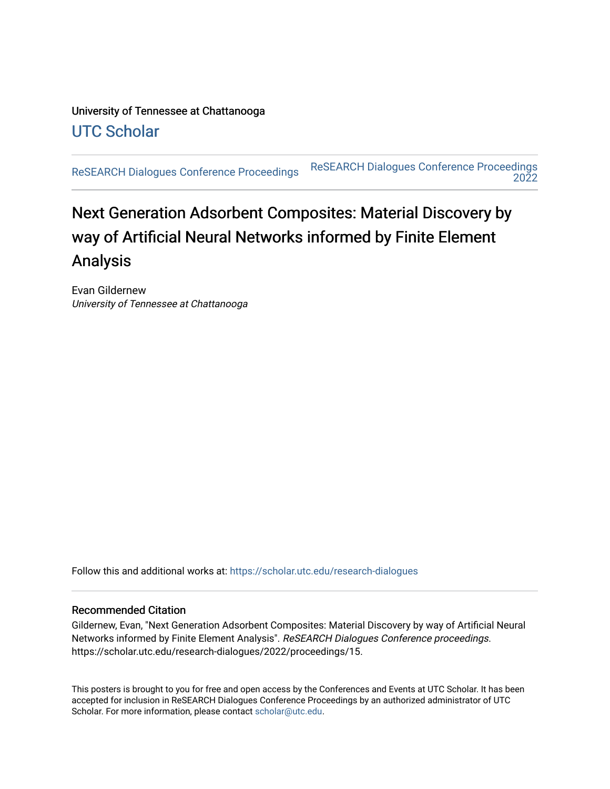## University of Tennessee at Chattanooga [UTC Scholar](https://scholar.utc.edu/)

[ReSEARCH Dialogues Conference Proceedings](https://scholar.utc.edu/research-dialogues) ReSEARCH Dialogues Conference Proceedings [2022](https://scholar.utc.edu/research-dialogues/2022) 

# Next Generation Adsorbent Composites: Material Discovery by way of Artificial Neural Networks informed by Finite Element Analysis

Evan Gildernew University of Tennessee at Chattanooga

Follow this and additional works at: [https://scholar.utc.edu/research-dialogues](https://scholar.utc.edu/research-dialogues?utm_source=scholar.utc.edu%2Fresearch-dialogues%2F2022%2Fproceedings%2F15&utm_medium=PDF&utm_campaign=PDFCoverPages) 

### Recommended Citation

Gildernew, Evan, "Next Generation Adsorbent Composites: Material Discovery by way of Artificial Neural Networks informed by Finite Element Analysis". ReSEARCH Dialogues Conference proceedings. https://scholar.utc.edu/research-dialogues/2022/proceedings/15.

This posters is brought to you for free and open access by the Conferences and Events at UTC Scholar. It has been accepted for inclusion in ReSEARCH Dialogues Conference Proceedings by an authorized administrator of UTC Scholar. For more information, please contact [scholar@utc.edu.](mailto:scholar@utc.edu)